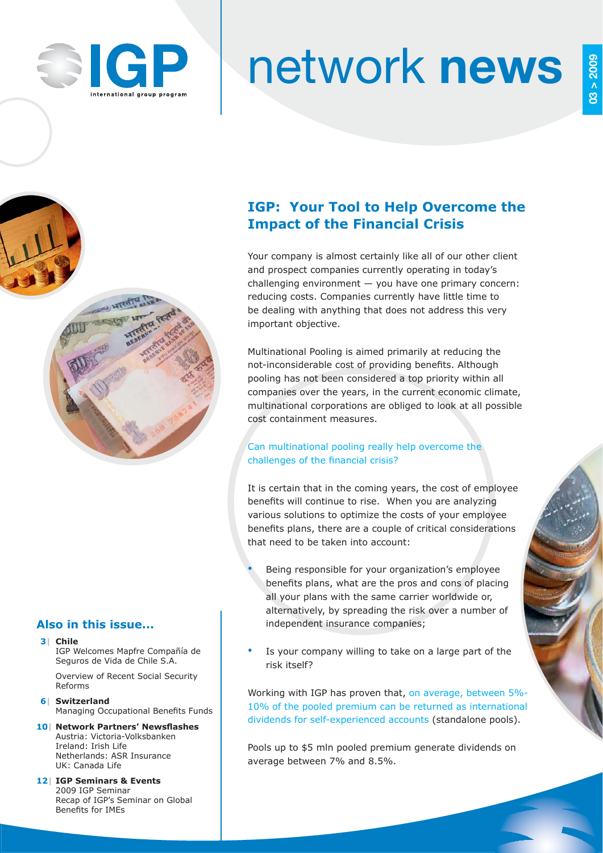

**03 > 2009**

 $03 > 2009$ 



भारतीय

# network **news**

# **IGP: Your Tool to Help Overcome the Impact of the Financial Crisis**

Your company is almost certainly like all of our other client and prospect companies currently operating in today's challenging environment — you have one primary concern: reducing costs. Companies currently have little time to be dealing with anything that does not address this very important objective.

Multinational Pooling is aimed primarily at reducing the not-inconsiderable cost of providing benefits. Although pooling has not been considered a top priority within all companies over the years, in the current economic climate, multinational corporations are obliged to look at all possible cost containment measures.

## Can multinational pooling really help overcome the challenges of the financial crisis?

It is certain that in the coming years, the cost of employee benefits will continue to rise. When you are analyzing various solutions to optimize the costs of your employee benefits plans, there are a couple of critical considerations that need to be taken into account:

- Being responsible for your organization's employee benefits plans, what are the pros and cons of placing all your plans with the same carrier worldwide or, alternatively, by spreading the risk over a number of independent insurance companies;
- Is your company willing to take on a large part of the risk itself?

Working with IGP has proven that, on average, between 5%- 10% of the pooled premium can be returned as international dividends for self-experienced accounts (standalone pools).

Pools up to \$5 mln pooled premium generate dividends on average between 7% and 8.5%.

## **Also in this issue...**

#### **3| Chile**

IGP Welcomes Mapfre Compañía de Seguros de Vida de Chile S.A.

 Overview of Recent Social Security Reforms

 **6| Switzerland Managing Occupational Benefits Funds** 

- **10| Network Partners' Newsflashes**  Austria: Victoria-Volksbanken Ireland: Irish Life Netherlands: ASR Insurance UK: Canada Life
- **12| IGP Seminars & Events** 2009 IGP Seminar Recap of IGP's Seminar on Global Benefits for IMEs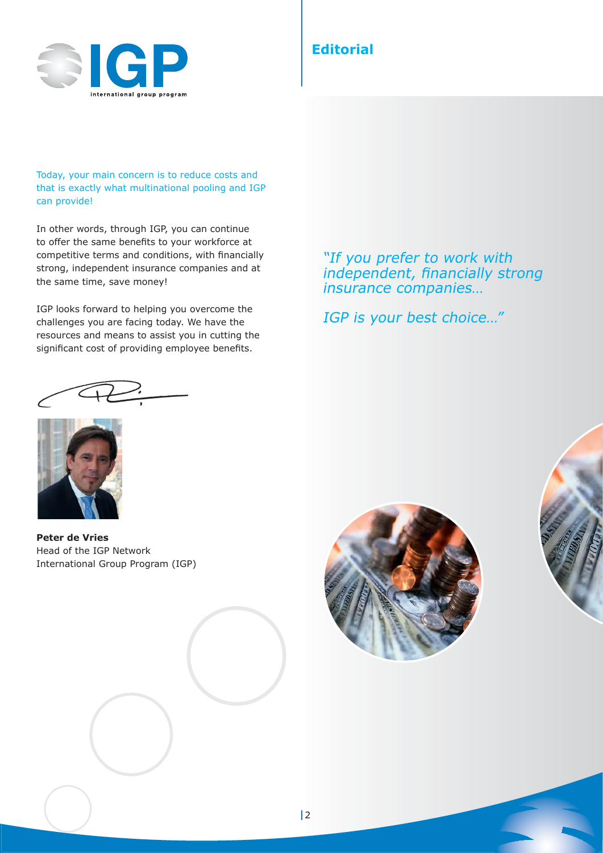

# **Editorial**

Today, your main concern is to reduce costs and that is exactly what multinational pooling and IGP can provide!

In other words, through IGP, you can continue to offer the same benefits to your workforce at competitive terms and conditions, with financially strong, independent insurance companies and at the same time, save money!

IGP looks forward to helping you overcome the challenges you are facing today. We have the resources and means to assist you in cutting the significant cost of providing employee benefits.

"If you prefer to work with independent, financially strong insurance companies…

IGP is your best choice…"



**Peter de Vries** Head of the IGP Network International Group Program (IGP)

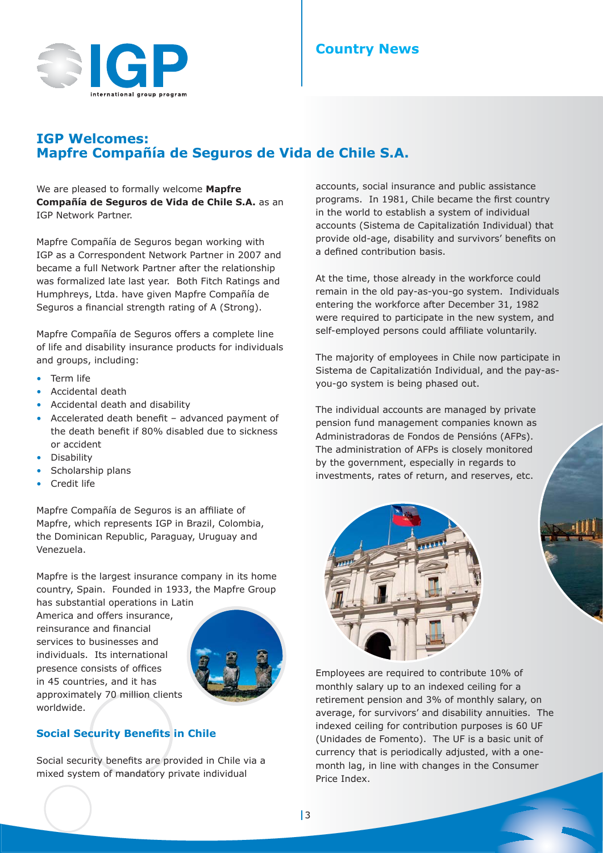

## **IGP Welcomes: Mapfre Compañía de Seguros de Vida de Chile S.A.**

We are pleased to formally welcome **Mapfre Compañía de Seguros de Vida de Chile S.A.** as an IGP Network Partner.

Mapfre Compañía de Seguros began working with IGP as a Correspondent Network Partner in 2007 and became a full Network Partner after the relationship was formalized late last year. Both Fitch Ratings and Humphreys, Ltda. have given Mapfre Compañía de Seguros a financial strength rating of A (Strong).

Mapfre Compañía de Seguros offers a complete line of life and disability insurance products for individuals and groups, including:

- Term life
- Accidental death
- Accidental death and disability
- Accelerated death benefit advanced payment of the death benefit if 80% disabled due to sickness or accident
- Disability
- Scholarship plans
- Credit life

Mapfre Compañía de Seguros is an affiliate of Mapfre, which represents IGP in Brazil, Colombia, the Dominican Republic, Paraguay, Uruguay and Venezuela.

Mapfre is the largest insurance company in its home country, Spain. Founded in 1933, the Mapfre Group

has substantial operations in Latin America and offers insurance, reinsurance and financial services to businesses and individuals. Its international presence consists of offices in 45 countries, and it has approximately 70 million clients worldwide.



## **Social Security Benefits in Chile**

Social security benefits are provided in Chile via a mixed system of mandatory private individual

accounts, social insurance and public assistance programs. In 1981, Chile became the first country in the world to establish a system of individual accounts (Sistema de Capitalizatión Individual) that provide old-age, disability and survivors' benefits on a defined contribution basis.

At the time, those already in the workforce could remain in the old pay-as-you-go system. Individuals entering the workforce after December 31, 1982 were required to participate in the new system, and self-employed persons could affiliate voluntarily.

The majority of employees in Chile now participate in Sistema de Capitalizatión Individual, and the pay-asyou-go system is being phased out.

The individual accounts are managed by private pension fund management companies known as Administradoras de Fondos de Pensións (AFPs). The administration of AFPs is closely monitored by the government, especially in regards to investments, rates of return, and reserves, etc.



Employees are required to contribute 10% of monthly salary up to an indexed ceiling for a retirement pension and 3% of monthly salary, on average, for survivors' and disability annuities. The indexed ceiling for contribution purposes is 60 UF (Unidades de Fomento). The UF is a basic unit of currency that is periodically adjusted, with a onemonth lag, in line with changes in the Consumer Price Index.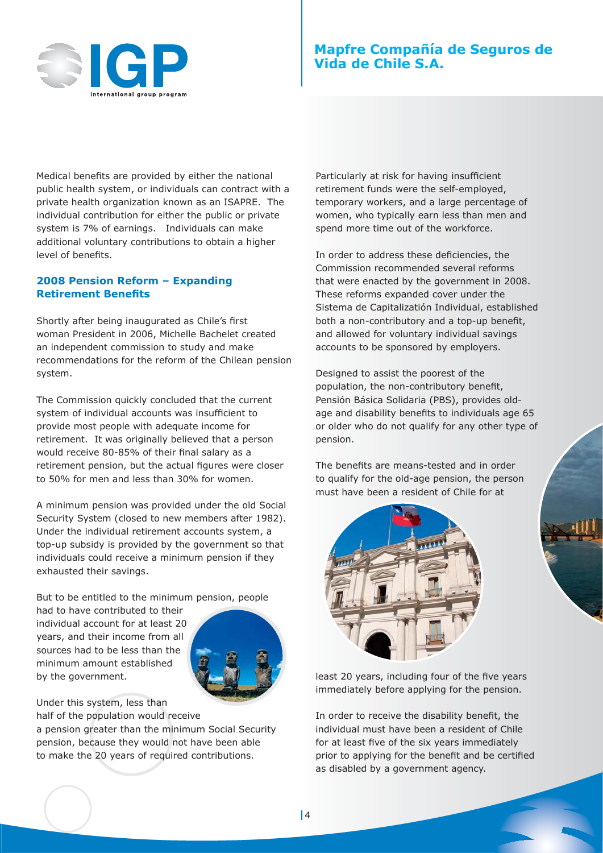

# **Mapfre Compañía de Seguros de Vida de Chile S.A.**

Medical benefits are provided by either the national public health system, or individuals can contract with a private health organization known as an ISAPRE. The individual contribution for either the public or private system is 7% of earnings. Individuals can make additional voluntary contributions to obtain a higher level of benefits.

#### **2008 Pension Reform – Expanding Retirement Benefits**

Shortly after being inaugurated as Chile's first woman President in 2006, Michelle Bachelet created an independent commission to study and make recommendations for the reform of the Chilean pension system.

The Commission quickly concluded that the current system of individual accounts was insufficient to provide most people with adequate income for retirement. It was originally believed that a person would receive 80-85% of their final salary as a retirement pension, but the actual figures were closer to 50% for men and less than 30% for women.

A minimum pension was provided under the old Social Security System (closed to new members after 1982). Under the individual retirement accounts system, a top-up subsidy is provided by the government so that individuals could receive a minimum pension if they exhausted their savings.

But to be entitled to the minimum pension, people

had to have contributed to their individual account for at least 20 years, and their income from all sources had to be less than the minimum amount established by the government.



Under this system, less than half of the population would receive

a pension greater than the minimum Social Security pension, because they would not have been able to make the 20 years of required contributions.

Particularly at risk for having insufficient retirement funds were the self-employed, temporary workers, and a large percentage of women, who typically earn less than men and spend more time out of the workforce.

In order to address these deficiencies, the Commission recommended several reforms that were enacted by the government in 2008. These reforms expanded cover under the Sistema de Capitalizatión Individual, established both a non-contributory and a top-up benefit, and allowed for voluntary individual savings accounts to be sponsored by employers.

Designed to assist the poorest of the population, the non-contributory benefit, Pensión Básica Solidaria (PBS), provides oldage and disability benefits to individuals age 65 or older who do not qualify for any other type of pension.

The benefits are means-tested and in order to qualify for the old-age pension, the person must have been a resident of Chile for at



least 20 years, including four of the five years immediately before applying for the pension.

In order to receive the disability benefit, the individual must have been a resident of Chile for at least five of the six years immediately prior to applying for the benefit and be certified as disabled by a government agency.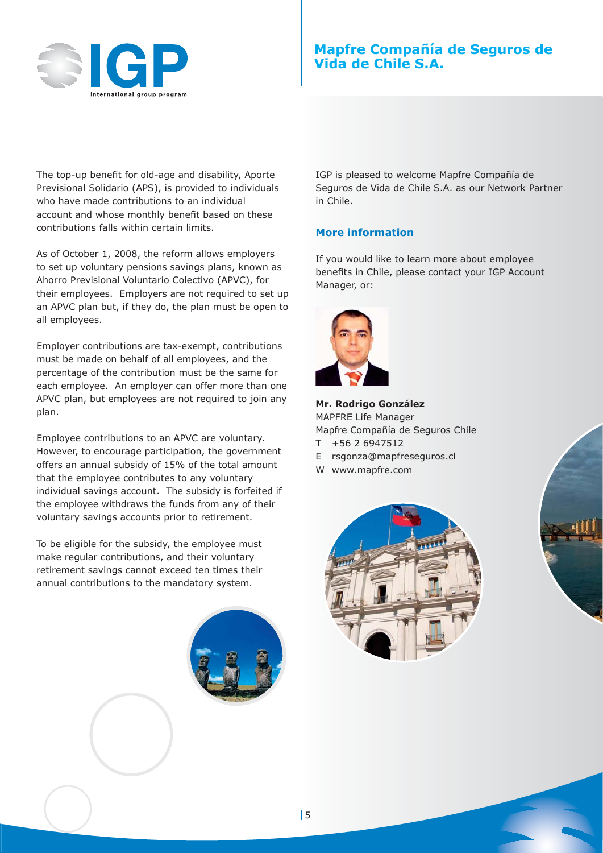

# **Mapfre Compañía de Seguros de Vida de Chile S.A.**

The top-up benefit for old-age and disability, Aporte Previsional Solidario (APS), is provided to individuals who have made contributions to an individual account and whose monthly benefit based on these contributions falls within certain limits.

As of October 1, 2008, the reform allows employers to set up voluntary pensions savings plans, known as Ahorro Previsional Voluntario Colectivo (APVC), for their employees. Employers are not required to set up an APVC plan but, if they do, the plan must be open to all employees.

Employer contributions are tax-exempt, contributions must be made on behalf of all employees, and the percentage of the contribution must be the same for each employee. An employer can offer more than one APVC plan, but employees are not required to join any plan.

Employee contributions to an APVC are voluntary. However, to encourage participation, the government offers an annual subsidy of 15% of the total amount that the employee contributes to any voluntary individual savings account. The subsidy is forfeited if the employee withdraws the funds from any of their voluntary savings accounts prior to retirement.

To be eligible for the subsidy, the employee must make regular contributions, and their voluntary retirement savings cannot exceed ten times their annual contributions to the mandatory system.



IGP is pleased to welcome Mapfre Compañía de Seguros de Vida de Chile S.A. as our Network Partner in Chile.

#### **More information**

If you would like to learn more about employee benefits in Chile, please contact your IGP Account Manager, or:



**Mr. Rodrigo González** MAPFRE Life Manager Mapfre Compañía de Seguros Chile

- T +56 2 6947512
- E rsgonza@mapfreseguros.cl
- W www.mapfre.com

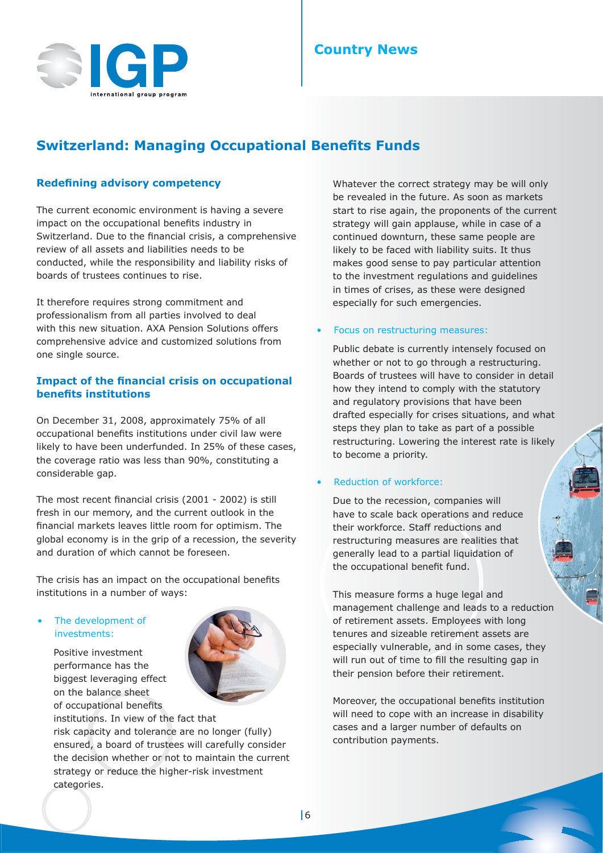# **Country News**



# **Switzerland: Managing Occupational Benefits Funds**

#### **Redefining advisory competency**

The current economic environment is having a severe impact on the occupational benefits industry in Switzerland. Due to the financial crisis, a comprehensive review of all assets and liabilities needs to be conducted, while the responsibility and liability risks of boards of trustees continues to rise.

It therefore requires strong commitment and professionalism from all parties involved to deal with this new situation. AXA Pension Solutions offers comprehensive advice and customized solutions from one single source.

#### **Impact of the financial crisis on occupational benefits institutions**

On December 31, 2008, approximately 75% of all occupational benefits institutions under civil law were likely to have been underfunded. In 25% of these cases, the coverage ratio was less than 90%, constituting a considerable gap.

The most recent financial crisis (2001 - 2002) is still fresh in our memory, and the current outlook in the financial markets leaves little room for optimism. The global economy is in the grip of a recession, the severity and duration of which cannot be foreseen.

The crisis has an impact on the occupational benefits institutions in a number of ways:

#### The development of investments:

Positive investment performance has the biggest leveraging effect on the balance sheet of occupational benefits



institutions. In view of the fact that risk capacity and tolerance are no longer (fully) ensured, a board of trustees will carefully consider the decision whether or not to maintain the current strategy or reduce the higher-risk investment categories.

Whatever the correct strategy may be will only be revealed in the future. As soon as markets start to rise again, the proponents of the current strategy will gain applause, while in case of a continued downturn, these same people are likely to be faced with liability suits. It thus makes good sense to pay particular attention to the investment regulations and guidelines in times of crises, as these were designed especially for such emergencies.

#### Focus on restructuring measures:

Public debate is currently intensely focused on whether or not to go through a restructuring. Boards of trustees will have to consider in detail how they intend to comply with the statutory and regulatory provisions that have been drafted especially for crises situations, and what steps they plan to take as part of a possible restructuring. Lowering the interest rate is likely to become a priority.

#### • Reduction of workforce:

Due to the recession, companies will have to scale back operations and reduce their workforce. Staff reductions and restructuring measures are realities that generally lead to a partial liquidation of the occupational benefit fund.

This measure forms a huge legal and management challenge and leads to a reduction of retirement assets. Employees with long tenures and sizeable retirement assets are especially vulnerable, and in some cases, they will run out of time to fill the resulting gap in their pension before their retirement.

Moreover, the occupational benefits institution will need to cope with an increase in disability cases and a larger number of defaults on contribution payments.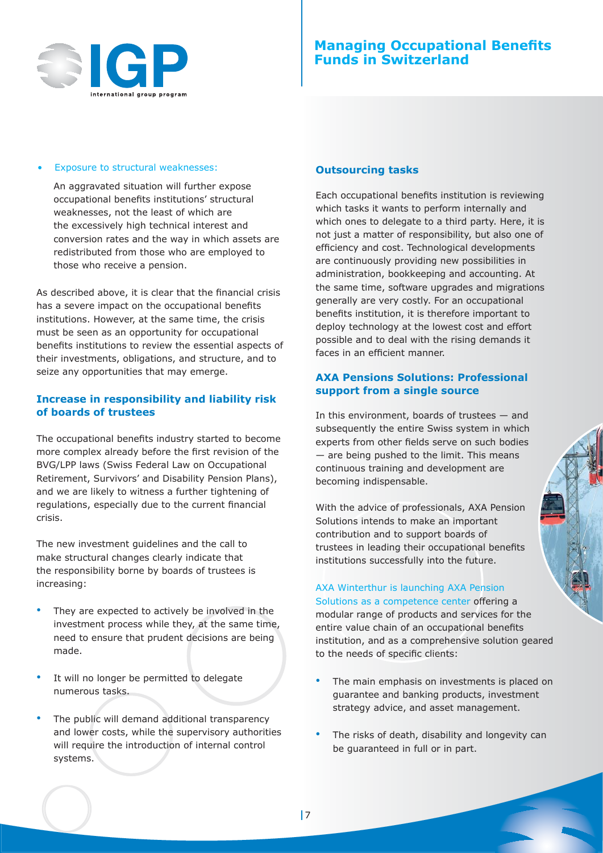

#### Exposure to structural weaknesses:

An aggravated situation will further expose occupational benefits institutions' structural weaknesses, not the least of which are the excessively high technical interest and conversion rates and the way in which assets are redistributed from those who are employed to those who receive a pension.

As described above, it is clear that the financial crisis has a severe impact on the occupational benefits institutions. However, at the same time, the crisis must be seen as an opportunity for occupational benefits institutions to review the essential aspects of their investments, obligations, and structure, and to seize any opportunities that may emerge.

#### **Increase in responsibility and liability risk of boards of trustees**

The occupational benefits industry started to become more complex already before the first revision of the BVG/LPP laws (Swiss Federal Law on Occupational Retirement, Survivors' and Disability Pension Plans), and we are likely to witness a further tightening of regulations, especially due to the current financial crisis.

The new investment guidelines and the call to make structural changes clearly indicate that the responsibility borne by boards of trustees is increasing:

- They are expected to actively be involved in the investment process while they, at the same time, need to ensure that prudent decisions are being made.
- It will no longer be permitted to delegate numerous tasks.
- The public will demand additional transparency and lower costs, while the supervisory authorities will require the introduction of internal control systems.

#### **Outsourcing tasks**

Each occupational benefits institution is reviewing which tasks it wants to perform internally and which ones to delegate to a third party. Here, it is not just a matter of responsibility, but also one of efficiency and cost. Technological developments are continuously providing new possibilities in administration, bookkeeping and accounting. At the same time, software upgrades and migrations generally are very costly. For an occupational benefits institution, it is therefore important to deploy technology at the lowest cost and effort possible and to deal with the rising demands it faces in an efficient manner.

#### **AXA Pensions Solutions: Professional support from a single source**

In this environment, boards of trustees — and subsequently the entire Swiss system in which experts from other fields serve on such bodies — are being pushed to the limit. This means continuous training and development are becoming indispensable.

With the advice of professionals, AXA Pension Solutions intends to make an important contribution and to support boards of trustees in leading their occupational benefits institutions successfully into the future.

#### AXA Winterthur is launching AXA Pension

Solutions as a competence center offering a modular range of products and services for the entire value chain of an occupational benefits institution, and as a comprehensive solution geared to the needs of specific clients:

- The main emphasis on investments is placed on guarantee and banking products, investment strategy advice, and asset management.
- The risks of death, disability and longevity can be guaranteed in full or in part.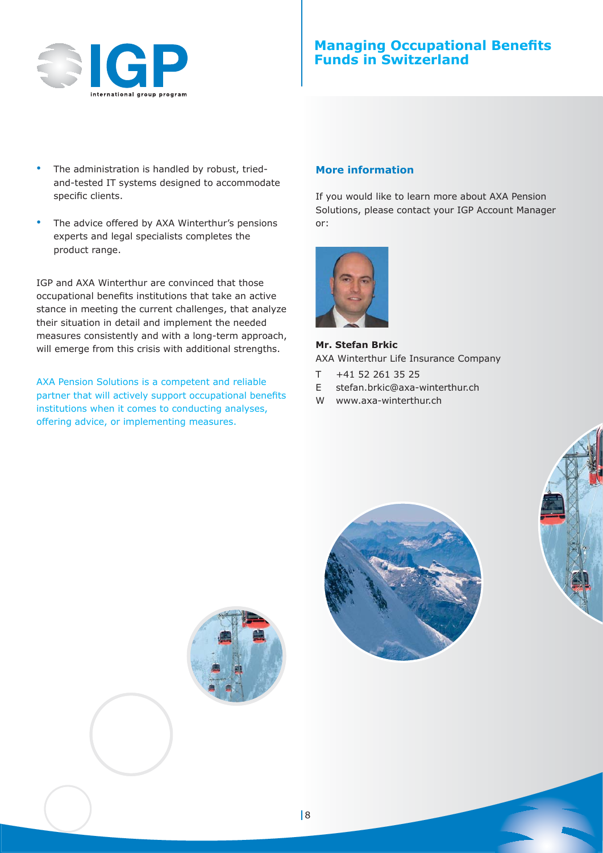

# **Managing Occupational Benefits Funds in Switzerland**

- The administration is handled by robust, triedand-tested IT systems designed to accommodate specific clients.
- The advice offered by AXA Winterthur's pensions experts and legal specialists completes the product range.

IGP and AXA Winterthur are convinced that those occupational benefits institutions that take an active stance in meeting the current challenges, that analyze their situation in detail and implement the needed measures consistently and with a long-term approach, will emerge from this crisis with additional strengths.

AXA Pension Solutions is a competent and reliable partner that will actively support occupational benefits institutions when it comes to conducting analyses, offering advice, or implementing measures.

#### **More information**

If you would like to learn more about AXA Pension Solutions, please contact your IGP Account Manager or:



**Mr. Stefan Brkic** AXA Winterthur Life Insurance Company

- $T$  +41 52 261 35 25
- E stefan.brkic@axa-winterthur.ch
- W www.axa-winterthur.ch



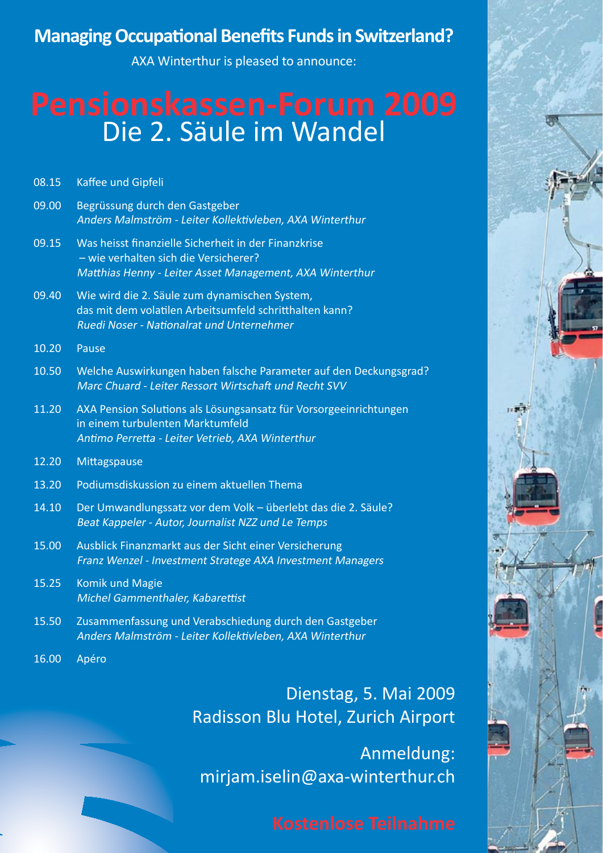# **Managing Occupational Benefits Funds in Switzerland?**

AXA Winterthur is pleased to announce:

# **Pensionskassen-Forum 2009** Die 2. Säule im Wandel

| 08.15 | Kaffee und Gipfeli |  |
|-------|--------------------|--|
|       |                    |  |

- 09.00 Begrüssung durch den Gastgeber Anders Malmström - Leiter Kollektivleben, AXA Winterthur
- 09.15 Was heisst finanzielle Sicherheit in der Finanzkrise – wie verhalten sich die Versicherer? Matthias Henny - Leiter Asset Management, AXA Winterthur
- 09.40 Wie wird die 2. Säule zum dynamischen System, das mit dem volatilen Arbeitsumfeld schritthalten kann? Ruedi Noser - Nationalrat und Unternehmer
- 10.20 Pause
- 10.50 Welche Auswirkungen haben falsche Parameter auf den Deckungsgrad? Marc Chuard - Leiter Ressort Wirtschaft und Recht SVV
- 11.20 AXA Pension Solutions als Lösungsansatz für Vorsorgeeinrichtungen in einem turbulenten Marktumfeld Antimo Perretta - Leiter Vetrieb, AXA Winterthur
- 12.20 Mittagspause
- 13.20 Podiumsdiskussion zu einem aktuellen Thema
- 14.10 Der Umwandlungssatz vor dem Volk überlebt das die 2. Säule? Beat Kappeler - Autor, Journalist NZZ und Le Temps
- 15.00 Ausblick Finanzmarkt aus der Sicht einer Versicherung Franz Wenzel - Investment Stratege AXA Investment Managers
- 15.25 Komik und Magie Michel Gammenthaler, Kabarettist
- 15.50 Zusammenfassung und Verabschiedung durch den Gastgeber Anders Malmström - Leiter Kollektivleben, AXA Winterthur
- 16.00 Apéro

Dienstag, 5. Mai 2009 Radisson Blu Hotel, Zurich Airport

Anmeldung: mirjam.iselin@axa-winterthur.ch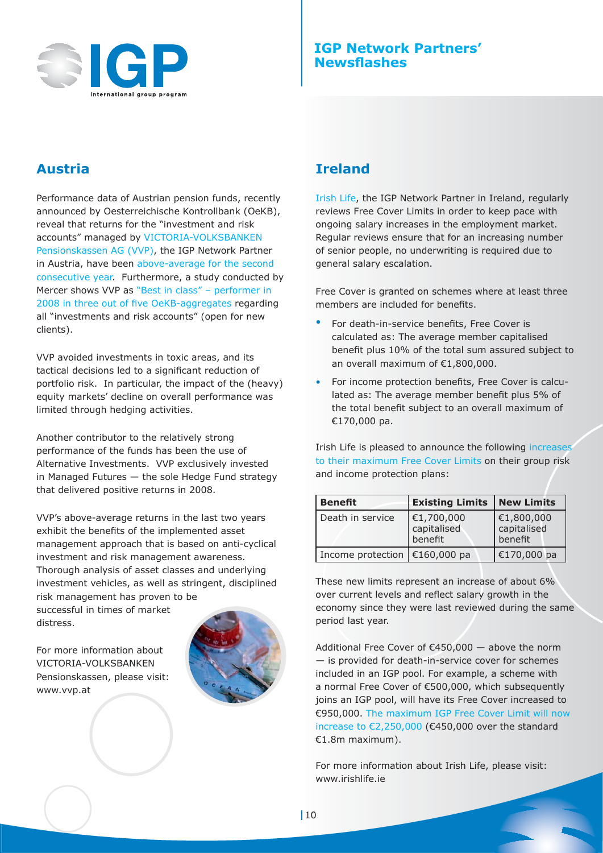

# **Austria**

Performance data of Austrian pension funds, recently announced by Oesterreichische Kontrollbank (OeKB), reveal that returns for the "investment and risk accounts" managed by VICTORIA-VOLKSBANKEN Pensionskassen AG (VVP), the IGP Network Partner in Austria, have been above-average for the second consecutive year. Furthermore, a study conducted by Mercer shows VVP as "Best in class" – performer in 2008 in three out of five OeKB-aggregates regarding all "investments and risk accounts" (open for new clients).

VVP avoided investments in toxic areas, and its tactical decisions led to a significant reduction of portfolio risk. In particular, the impact of the (heavy) equity markets' decline on overall performance was limited through hedging activities.

Another contributor to the relatively strong performance of the funds has been the use of Alternative Investments. VVP exclusively invested in Managed Futures — the sole Hedge Fund strategy that delivered positive returns in 2008.

VVP's above-average returns in the last two years exhibit the benefits of the implemented asset management approach that is based on anti-cyclical investment and risk management awareness. Thorough analysis of asset classes and underlying investment vehicles, as well as stringent, disciplined risk management has proven to be

successful in times of market distress.

For more information about VICTORIA-VOLKSBANKEN Pensionskassen, please visit: www.vvp.at



# **Ireland**

Irish Life, the IGP Network Partner in Ireland, regularly reviews Free Cover Limits in order to keep pace with ongoing salary increases in the employment market. Regular reviews ensure that for an increasing number of senior people, no underwriting is required due to general salary escalation.

Free Cover is granted on schemes where at least three members are included for benefits.

- For death-in-service benefits, Free Cover is calculated as: The average member capitalised benefit plus 10% of the total sum assured subject to an overall maximum of €1,800,000.
- For income protection benefits, Free Cover is calculated as: The average member benefit plus 5% of the total benefit subject to an overall maximum of €170,000 pa.

Irish Life is pleased to announce the following increases to their maximum Free Cover Limits on their group risk and income protection plans:

| <b>Benefit</b>                  | <b>Existing Limits</b>               | New Limits                                |
|---------------------------------|--------------------------------------|-------------------------------------------|
| Death in service                | €1,700,000<br>capitalised<br>benefit | $\in$ 1,800,000<br>capitalised<br>benefit |
| Income protection   €160,000 pa |                                      | €170,000 pa                               |

These new limits represent an increase of about 6% over current levels and reflect salary growth in the economy since they were last reviewed during the same period last year.

Additional Free Cover of €450,000 — above the norm — is provided for death-in-service cover for schemes included in an IGP pool. For example, a scheme with a normal Free Cover of €500,000, which subsequently joins an IGP pool, will have its Free Cover increased to €950,000. The maximum IGP Free Cover Limit will now increase to €2,250,000 (€450,000 over the standard €1.8m maximum).

For more information about Irish Life, please visit: www.irishlife.ie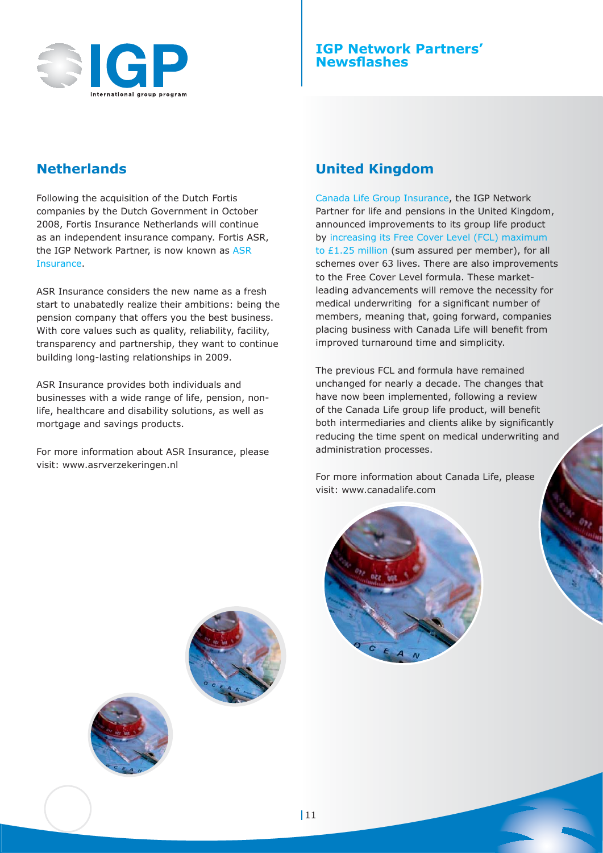

## **IGP Network Partners' Newsflashes**

# **Netherlands**

Following the acquisition of the Dutch Fortis companies by the Dutch Government in October 2008, Fortis Insurance Netherlands will continue as an independent insurance company. Fortis ASR, the IGP Network Partner, is now known as ASR Insurance.

ASR Insurance considers the new name as a fresh start to unabatedly realize their ambitions: being the pension company that offers you the best business. With core values such as quality, reliability, facility, transparency and partnership, they want to continue building long-lasting relationships in 2009.

ASR Insurance provides both individuals and businesses with a wide range of life, pension, nonlife, healthcare and disability solutions, as well as mortgage and savings products.

For more information about ASR Insurance, please visit: www.asrverzekeringen.nl

# **United Kingdom**

Canada Life Group Insurance, the IGP Network Partner for life and pensions in the United Kingdom, announced improvements to its group life product by increasing its Free Cover Level (FCL) maximum to £1.25 million (sum assured per member), for all schemes over 63 lives. There are also improvements to the Free Cover Level formula. These marketleading advancements will remove the necessity for medical underwriting for a significant number of members, meaning that, going forward, companies placing business with Canada Life will benefit from improved turnaround time and simplicity.

The previous FCL and formula have remained unchanged for nearly a decade. The changes that have now been implemented, following a review of the Canada Life group life product, will benefit both intermediaries and clients alike by significantly reducing the time spent on medical underwriting and administration processes.

For more information about Canada Life, please visit: www.canadalife.com





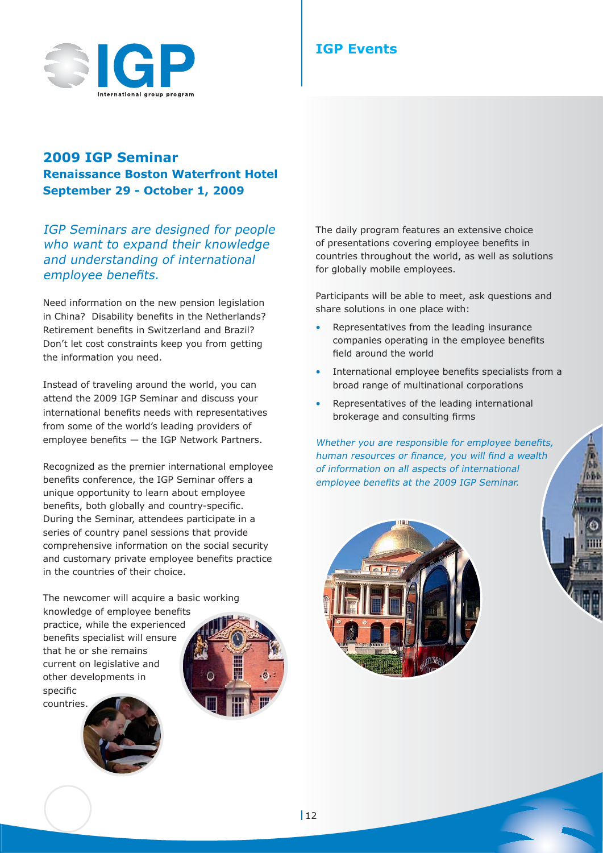

# **IGP Events**

# **2009 IGP Seminar Renaissance Boston Waterfront Hotel September 29 - October 1, 2009**

IGP Seminars are designed for people who want to expand their knowledge and understanding of international employee benefits.

Need information on the new pension legislation in China? Disability benefits in the Netherlands? Retirement benefits in Switzerland and Brazil? Don't let cost constraints keep you from getting the information you need.

Instead of traveling around the world, you can attend the 2009 IGP Seminar and discuss your international benefits needs with representatives from some of the world's leading providers of employee benefits  $-$  the IGP Network Partners.

Recognized as the premier international employee benefits conference, the IGP Seminar offers a unique opportunity to learn about employee benefits, both globally and country-specific. During the Seminar, attendees participate in a series of country panel sessions that provide comprehensive information on the social security and customary private employee benefits practice in the countries of their choice.

The newcomer will acquire a basic working knowledge of employee benefits practice, while the experienced benefits specialist will ensure that he or she remains current on legislative and other developments in specific countries.

The daily program features an extensive choice of presentations covering employee benefits in countries throughout the world, as well as solutions for globally mobile employees.

Participants will be able to meet, ask questions and share solutions in one place with:

- Representatives from the leading insurance companies operating in the employee benefits field around the world
- International employee benefits specialists from a broad range of multinational corporations
- Representatives of the leading international brokerage and consulting firms

Whether you are responsible for employee benefits, human resources or finance, you will find a wealth of information on all aspects of international employee benefits at the 2009 IGP Seminar.

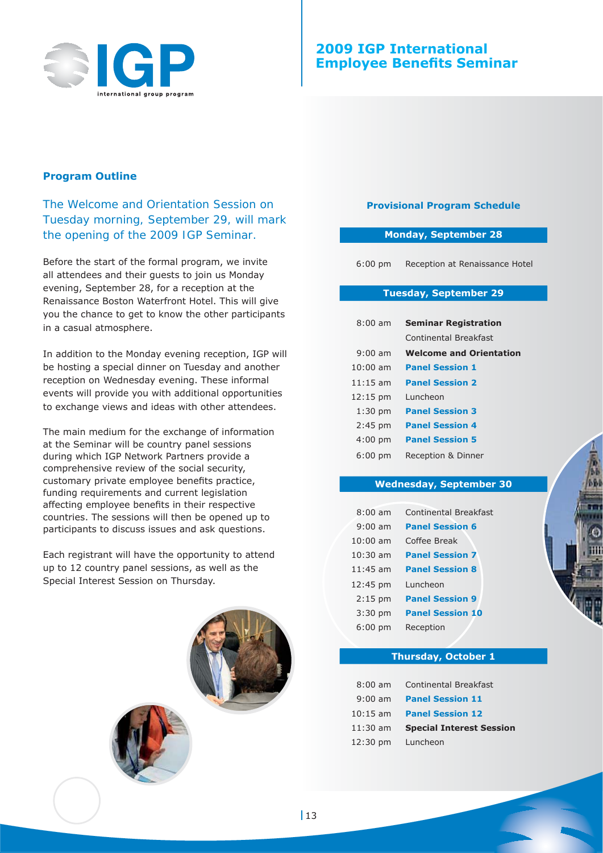

## **2009 IGP International Employee Benefits Seminar**

#### **Program Outline**

*The Welcome and Orientation Session on Tuesday morning, September 29, will mark the opening of the 2009 IGP Seminar.*

Before the start of the formal program, we invite all attendees and their guests to join us Monday evening, September 28, for a reception at the Renaissance Boston Waterfront Hotel. This will give you the chance to get to know the other participants in a casual atmosphere.

In addition to the Monday evening reception, IGP will be hosting a special dinner on Tuesday and another reception on Wednesday evening. These informal events will provide you with additional opportunities to exchange views and ideas with other attendees.

The main medium for the exchange of information at the Seminar will be country panel sessions during which IGP Network Partners provide a comprehensive review of the social security, customary private employee benefits practice, funding requirements and current legislation affecting employee benefits in their respective countries. The sessions will then be opened up to participants to discuss issues and ask questions.

Each registrant will have the opportunity to attend up to 12 country panel sessions, as well as the Special Interest Session on Thursday.



#### **Provisional Program Schedule**

#### **Monday, September 28**

6:00 pm Reception at Renaissance Hotel

#### **Tuesday, September 29**

| $8:00$ am          | <b>Seminar Registration</b>    |  |
|--------------------|--------------------------------|--|
|                    | Continental Breakfast          |  |
| $9:00$ am          | <b>Welcome and Orientation</b> |  |
| $10:00$ am         | <b>Panel Session 1</b>         |  |
| $11:15$ am         | <b>Panel Session 2</b>         |  |
| $12:15 \text{ pm}$ | Luncheon                       |  |
| $1:30$ pm          | <b>Panel Session 3</b>         |  |
| $2:45$ pm          | <b>Panel Session 4</b>         |  |
| $4:00$ pm          | <b>Panel Session 5</b>         |  |
| 6:00 pm            | Reception & Dinner             |  |

#### **Wednesday, September 30**

| $8:00$ am         | <b>Continental Breakfast</b> |
|-------------------|------------------------------|
| $9:00$ am         | <b>Panel Session 6</b>       |
| $10:00$ am        | Coffee Break                 |
| $10:30$ am        | <b>Panel Session 7</b>       |
| $11:45$ am        | <b>Panel Session 8</b>       |
| 12:45 pm          | Luncheon                     |
| $2:15$ pm         | <b>Panel Session 9</b>       |
| $3:30$ pm         | <b>Panel Session 10</b>      |
| $6:00 \text{ pm}$ | Reception                    |

#### **Thursday, October 1**

| $8:00$ am  | <b>Continental Breakfast</b>    |
|------------|---------------------------------|
|            | 9:00 am Panel Session 11        |
|            | 10:15 am Panel Session 12       |
| $11:30$ am | <b>Special Interest Session</b> |
|            | 12:30 pm Luncheon               |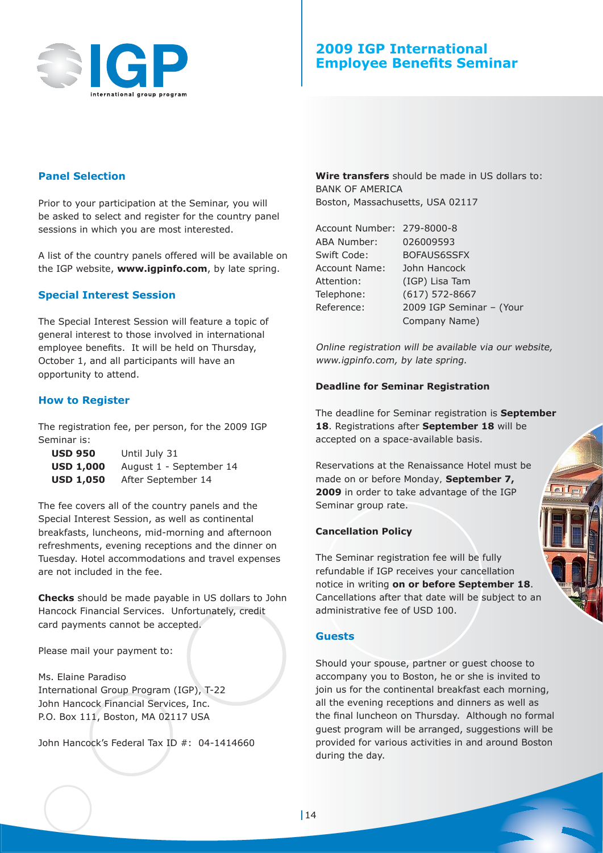

## **2009 IGP International Employee Benefits Seminar**

## **Panel Selection**

Prior to your participation at the Seminar, you will be asked to select and register for the country panel sessions in which you are most interested.

A list of the country panels offered will be available on the IGP website, **www.igpinfo.com**, by late spring.

#### **Special Interest Session**

The Special Interest Session will feature a topic of general interest to those involved in international employee benefits. It will be held on Thursday, October 1, and all participants will have an opportunity to attend.

#### **How to Register**

The registration fee, per person, for the 2009 IGP Seminar is:

| <b>USD 950</b>   | Until July 31           |
|------------------|-------------------------|
| <b>USD 1,000</b> | August 1 - September 14 |
| <b>USD 1,050</b> | After September 14      |

The fee covers all of the country panels and the Special Interest Session, as well as continental breakfasts, luncheons, mid-morning and afternoon refreshments, evening receptions and the dinner on Tuesday. Hotel accommodations and travel expenses are not included in the fee.

**Checks** should be made payable in US dollars to John Hancock Financial Services. Unfortunately, credit card payments cannot be accepted.

Please mail your payment to:

Ms. Elaine Paradiso International Group Program (IGP), T-22 John Hancock Financial Services, Inc. P.O. Box 111, Boston, MA 02117 USA

John Hancock's Federal Tax ID #: 04-1414660

**Wire transfers** should be made in US dollars to: BANK OF AMERICA Boston, Massachusetts, USA 02117

Account Number: 279-8000-8 ABA Number: 026009593 Swift Code: BOFAUS6SSFX Account Name: John Hancock Attention: (IGP) Lisa Tam Telephone: (617) 572-8667 Reference: 2009 IGP Seminar – (Your Company Name)

Online registration will be available via our website, www.igpinfo.com, by late spring.

#### **Deadline for Seminar Registration**

The deadline for Seminar registration is **September 18**. Registrations after **September 18** will be accepted on a space-available basis.

Reservations at the Renaissance Hotel must be made *on or before Monday,* **September 7, 2009** in order to take advantage of the IGP Seminar group rate.

#### **Cancellation Policy**

The Seminar registration fee will be fully refundable if IGP receives your cancellation notice in writing **on or before September 18**. Cancellations after that date will be subject to an administrative fee of USD 100.

#### **Guests**

Should your spouse, partner or guest choose to accompany you to Boston, he or she is invited to join us for the continental breakfast each morning, all the evening receptions and dinners as well as the final luncheon on Thursday. Although no formal guest program will be arranged, suggestions will be provided for various activities in and around Boston during the day.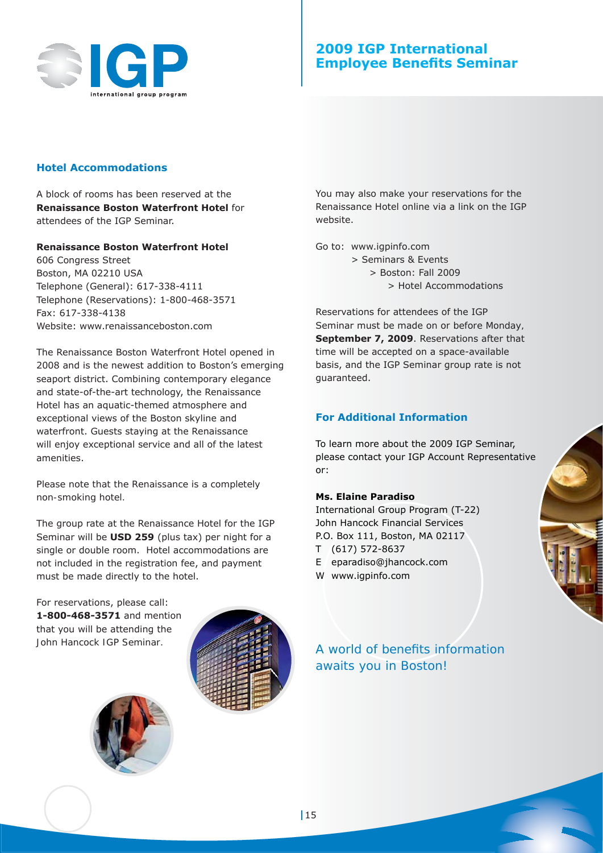

## **2009 IGP International Employee Benefits Seminar**

#### **Hotel Accommodations**

A block of rooms has been reserved at the **Renaissance Boston Waterfront Hotel** for attendees of the IGP Seminar.

#### **Renaissance Boston Waterfront Hotel**

606 Congress Street Boston, MA 02210 USA Telephone (General): 617-338-4111 Telephone (Reservations): 1-800-468-3571 Fax: 617-338-4138 Website: www.renaissanceboston.com

The Renaissance Boston Waterfront Hotel opened in 2008 and is the newest addition to Boston's emerging seaport district. Combining contemporary elegance and state-of-the-art technology, the Renaissance Hotel has an aquatic-themed atmosphere and exceptional views of the Boston skyline and waterfront. Guests staying at the Renaissance will enjoy exceptional service and all of the latest amenities.

#### *Please note that the Renaissance is a completely non-smoking hotel.*

The group rate at the Renaissance Hotel for the IGP Seminar will be **USD 259** (plus tax) per night for a single or double room. Hotel accommodations are not included in the registration fee, and payment must be made directly to the hotel.

For reservations, please call: **1-800-468-3571** and mention that you will be attending the *John Hancock IGP Seminar.*



You may also make your reservations for the Renaissance Hotel online via a link on the IGP website.

Go to: www.igpinfo.com

- > Seminars & Events > Boston: Fall 2009
	- - > Hotel Accommodations

Reservations for attendees of the IGP Seminar must be made *on or before Monday,*  **September 7, 2009**. Reservations after that time will be accepted on a space-available basis, and the IGP Seminar group rate is not guaranteed.

## **For Additional Information**

To learn more about the 2009 IGP Seminar, please contact your IGP Account Representative or:

#### **Ms. Elaine Paradiso**

International Group Program (T-22) John Hancock Financial Services P.O. Box 111, Boston, MA 02117

- T (617) 572-8637
- E eparadiso@jhancock.com
- W www.igpinfo.com



A world of benefits information *awaits you in Boston!*

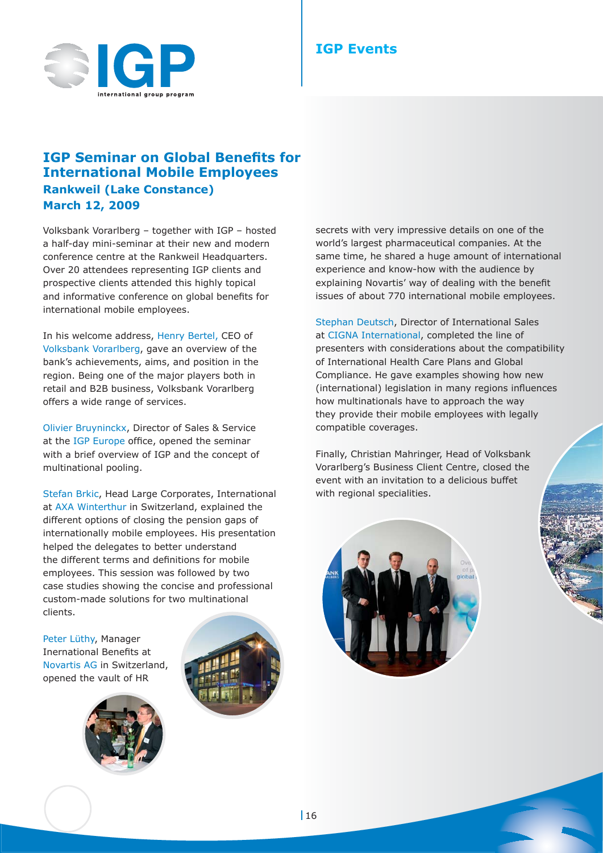

## **IGP Events**

# **IGP Seminar on Global Benefits for International Mobile Employees Rankweil (Lake Constance) March 12, 2009**

Volksbank Vorarlberg – together with IGP – hosted a half-day mini-seminar at their new and modern conference centre at the Rankweil Headquarters. Over 20 attendees representing IGP clients and prospective clients attended this highly topical and informative conference on global benefits for international mobile employees.

In his welcome address, Henry Bertel, CEO of Volksbank Vorarlberg, gave an overview of the bank's achievements, aims, and position in the region. Being one of the major players both in retail and B2B business, Volksbank Vorarlberg offers a wide range of services.

Olivier Bruyninckx, Director of Sales & Service at the IGP Europe office, opened the seminar with a brief overview of IGP and the concept of multinational pooling.

Stefan Brkic, Head Large Corporates, International at AXA Winterthur in Switzerland, explained the different options of closing the pension gaps of internationally mobile employees. His presentation helped the delegates to better understand the different terms and definitions for mobile employees. This session was followed by two case studies showing the concise and professional custom-made solutions for two multinational clients.

Peter Lüthy, Manager Inernational Benefits at Novartis AG in Switzerland, opened the vault of HR





secrets with very impressive details on one of the world's largest pharmaceutical companies. At the same time, he shared a huge amount of international experience and know-how with the audience by explaining Novartis' way of dealing with the benefit issues of about 770 international mobile employees.

Stephan Deutsch, Director of International Sales at CIGNA International, completed the line of presenters with considerations about the compatibility of International Health Care Plans and Global Compliance. He gave examples showing how new (international) legislation in many regions influences how multinationals have to approach the way they provide their mobile employees with legally compatible coverages.

Finally, Christian Mahringer, Head of Volksbank Vorarlberg's Business Client Centre, closed the event with an invitation to a delicious buffet with regional specialities.

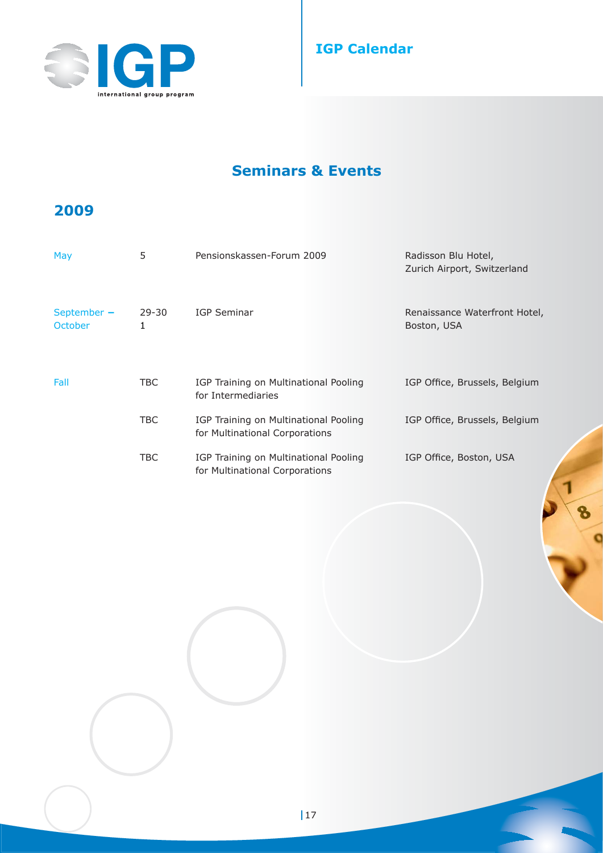

# **IGP Calendar**

# **Seminars & Events**

# **2009**

| May                             | 5              | Pensionskassen-Forum 2009                                               | Radisson Blu Hotel,<br>Zurich Airport, Switzerland |
|---------------------------------|----------------|-------------------------------------------------------------------------|----------------------------------------------------|
| September $-$<br><b>October</b> | $29 - 30$<br>1 | IGP Seminar                                                             | Renaissance Waterfront Hotel,<br>Boston, USA       |
| Fall                            | TBC.           | IGP Training on Multinational Pooling<br>for Intermediaries             | IGP Office, Brussels, Belgium                      |
|                                 | TBC            | IGP Training on Multinational Pooling<br>for Multinational Corporations | IGP Office, Brussels, Belgium                      |
|                                 | TBC            | IGP Training on Multinational Pooling<br>for Multinational Corporations | IGP Office, Boston, USA                            |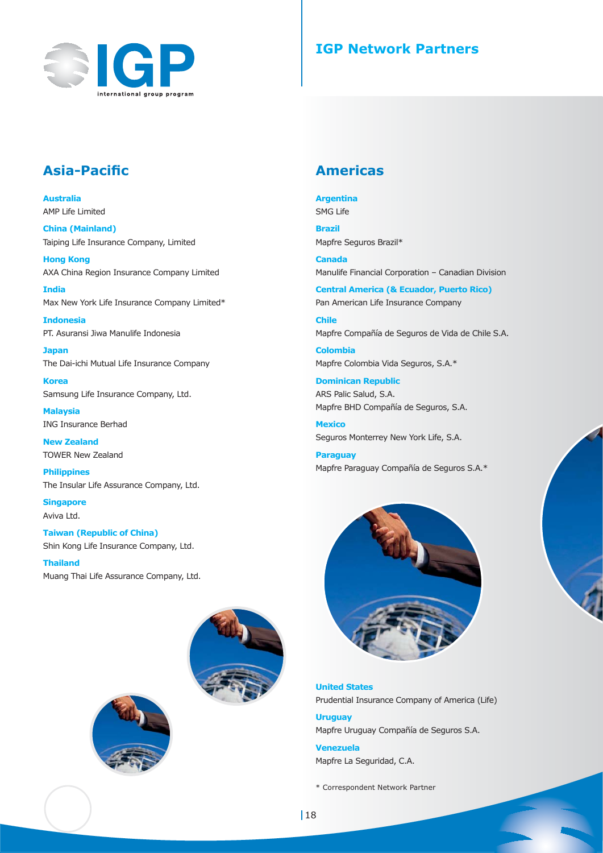

# **IGP Network Partners**

# **Asia-Pacific**

**Australia** AMP Life Limited

**China (Mainland)** Taiping Life Insurance Company, Limited

**Hong Kong** AXA China Region Insurance Company Limited

**India** Max New York Life Insurance Company Limited\*

**Indonesia** PT. Asuransi Jiwa Manulife Indonesia

**Japan** The Dai-ichi Mutual Life Insurance Company

**Korea** Samsung Life Insurance Company, Ltd.

**Malaysia** ING Insurance Berhad

**New Zealand** TOWER New Zealand

**Philippines** The Insular Life Assurance Company, Ltd.

**Singapore** Aviva Ltd.

**Taiwan (Republic of China)** Shin Kong Life Insurance Company, Ltd.

**Thailand** Muang Thai Life Assurance Company, Ltd.





# **Americas**

**Argentina**

SMG Life

**Brazil** Mapfre Seguros Brazil\*

**Canada** Manulife Financial Corporation – Canadian Division

**Central America (& Ecuador, Puerto Rico)** Pan American Life Insurance Company

**Chile** Mapfre Compañía de Seguros de Vida de Chile S.A.

**Colombia** Mapfre Colombia Vida Seguros, S.A.\*

**Dominican Republic** ARS Palic Salud, S.A. Mapfre BHD Compañía de Seguros, S.A.

**Mexico** Seguros Monterrey New York Life, S.A.

**Paraguay** Mapfre Paraguay Compañía de Seguros S.A.\*



**United States** Prudential Insurance Company of America (Life)

**Uruguay** Mapfre Uruguay Compañía de Seguros S.A.

**Venezuela** Mapfre La Seguridad, C.A.

\* Correspondent Network Partner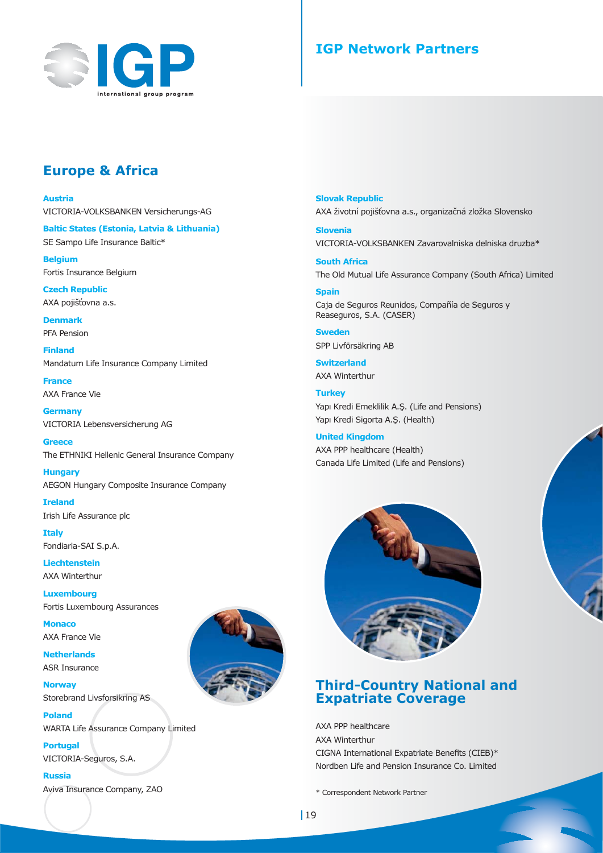

# **IGP Network Partners**

# **Europe & Africa**

**Austria**

VICTORIA-VOLKSBANKEN Versicherungs-AG

**Baltic States (Estonia, Latvia & Lithuania)** SE Sampo Life Insurance Baltic\*

**Belgium** Fortis Insurance Belgium

**Czech Republic** AXA pojišťovna a.s.

**Denmark** PFA Pension

**Finland** Mandatum Life Insurance Company Limited

**France** AXA France Vie

**Germany** VICTORIA Lebensversicherung AG

**Greece** The ETHNIKI Hellenic General Insurance Company

**Hungary** AEGON Hungary Composite Insurance Company

**Ireland** Irish Life Assurance plc

**Italy** Fondiaria-SAI S.p.A.

**Liechtenstein** AXA Winterthur

**Luxembourg** Fortis Luxembourg Assurances

**Monaco** AXA France Vie

**Netherlands** ASR Insurance

**Norway** Storebrand Livsforsikring AS

**Poland** WARTA Life Assurance Company Limited

**Portugal** VICTORIA-Seguros, S.A.

**Russia**

Aviva Insurance Company, ZAO



**Slovak Republic** AXA životní pojišťovna a.s., organizačná zložka Slovensko

**Slovenia** VICTORIA-VOLKSBANKEN Zavarovalniska delniska druzba\*

**South Africa** The Old Mutual Life Assurance Company (South Africa) Limited

#### **Spain**

Caja de Seguros Reunidos, Compañía de Seguros y Reaseguros, S.A. (CASER)

**Sweden** SPP Livförsäkring AB

**Switzerland** AXA Winterthur

**Turkey** Yapı Kredi Emeklilik A.Ş. (Life and Pensions) Yapı Kredi Sigorta A.Ş. (Health)

**United Kingdom** AXA PPP healthcare (Health) Canada Life Limited (Life and Pensions)



## **Third-Country National and Expatriate Coverage**

AXA PPP healthcare AXA Winterthur CIGNA International Expatriate Benefits (CIEB)\* Nordben Life and Pension Insurance Co. Limited

\* Correspondent Network Partner